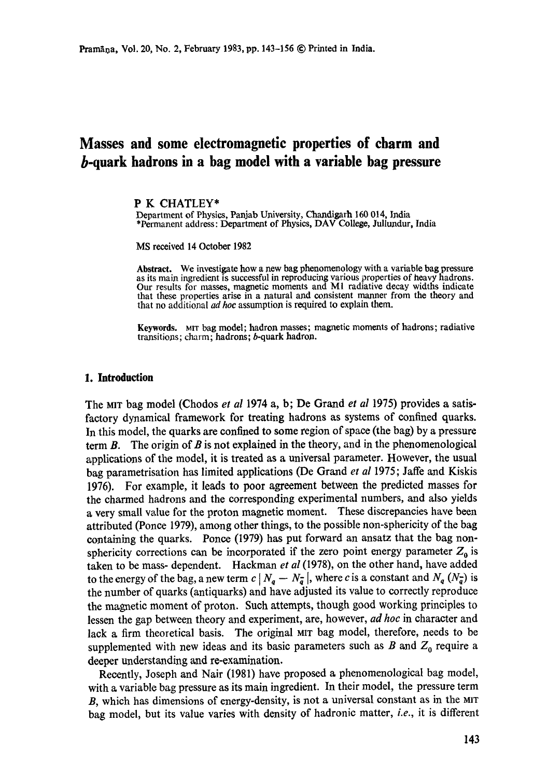# **Masses and some electromagnetic properties of charm and b-quark hadrons in a bag model with a variable bag pressure**

## P K CHATLEY\*

Department of Physics, Panjab University, Chandigarh 160 014, India \*Permanent address: Department of Physics, DAV College, Jullundur, India

MS received 14 October 1982

**Abstract.** We investigate how a new bag phenomenology with a variable bag pressure as its main ingredient is successful in reproducing various properties of heavy hadrons. Our results for masses, magnetic moments and MI radiative decay widths indicate that these properties arise in a natural and consistent manner from the theory and that no additional *ad hoc* assumption is required to explain them.

Keywords. MIT bag model; hadron masses; magnetic moments of hadrons; radiative transitions; charm; hadrons; b-quark hadron.

## **1. Introduction**

The MIT bag model (Chodos *et al* 1974 a, b; De Grand *et al* 1975) provides a satisfactory dynamical framework for treating hadrons as systems of confined quarks. In this model, the quarks are confined to some region of space (the bag) by a pressure term  $\mathbf{B}$ . The origin of  $\mathbf{B}$  is not explained in the theory, and in the phenomenological applications of the model, it is treated as a universal parameter. However, the usual bag parametrisation has limited applications (De Grand *et al* 1975; Jaffe and Kiskis 1976). For example, it leads to poor agreement between the predicted masses for the charmed hadrons and the corresponding experimental numbers, and also yields a very small value for the proton magnetic moment. These discrepancies have been attributed (Ponce 1979), among other things, to the possible non-sphericity of the bag containing the quarks. Ponce (1979) has put forward an ansatz that the bag nonsphericity corrections can be incorporated if the zero point energy parameter  $Z_0$  is taken to be mass- dependent. Hackman *et al* (1978), on the other hand, have added to the energy of the bag, a new term  $c | N_q - N_q^-|$ , where c is a constant and  $N_q (N_q^-)$  is the number of quarks (antiquarks) and have adjusted its value to correctly reproduce the magnetic moment of proton. Such attempts, though good working principles to lessen the gap between theory and experiment, are, however, *ad hoc* in character and lack a firm theoretical basis. The original MIT bag model, therefore, needs to be supplemented with new ideas and its basic parameters such as B and  $Z_0$  require a deeper understanding and re-examination.

Recently, Joseph and Nair (1981) have proposed a phenomenological bag model, with a variable bag pressure as its main ingredient. In their model, the pressure term  $B$ , which has dimensions of energy-density, is not a universal constant as in the MIT bag model, but its value varies with density of hadronic matter, *i.e.,* it is different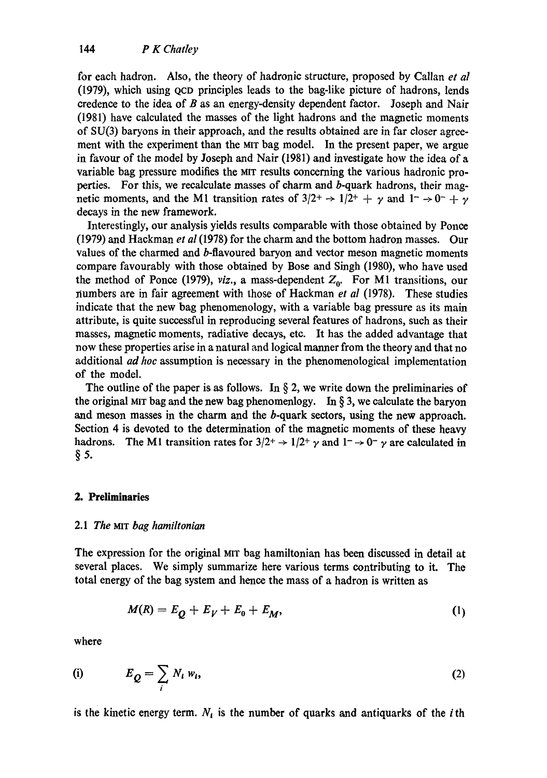for each hadron. Also, the theory of hadronie structure, proposed by Callan *et al*  (1979), which using Qco principles leads to the bag-like picture of hadrons, lends credence to the idea of  $B$  as an energy-density dependent factor. Joseph and Nair (1981) have calculated the masses of the light hadrons and the magnetic moments of SU(3) baryons in their approach, and the results obtained are in far closer agreement with the experiment than the MIT bag model. In the present paper, we argue in favour of the model by Joseph and Nair (1981) and investigate how the idea of a variable bag pressure modifies the MIT results concerning the various hadronic properties. For this, we recalculate masses of charm and b-quark hadrons, their magnetic moments, and the M1 transition rates of  $3/2^+ \rightarrow 1/2^+ + \gamma$  and  $1^- \rightarrow 0^- + \gamma$ decays in the new framework.

Interestingly, our analysis yields results comparable with those obtained by Ponce (1979) and Hackman *et al* (1978) for the charm and the bottom hadron masses. Our values of the charmed and b-flavoured baryon and vector meson magnetic moments compare favourably with those obtained by Bose and Singh (1980), who have used the method of Ponce (1979), *viz.*, a mass-dependent  $Z_0$ . For M1 transitions, our riumbers are in fair agreement with those of Hackman *et al* (1978). These studies indicate that the new bag phenomenology, with a variable bag pressure as its main attribute, is quite successful in reproducing several features of hadrons, such as their masses, magnetic moments, radiative decays, etc. It has the added advantage that now these properties arise in a natural and logical manner from the theory and that no additional *ad hoc* assumption is necessary in the phenomenological implementation of the model.

The outline of the paper is as follows. In  $\S$  2, we write down the preliminaries of the original MIT bag and the new bag phenomenlogy. In  $\S 3$ , we calculate the baryon and meson masses in the charm and the b-quark sectors, using the new approach. Section 4 is devoted to the determination of the magnetic moments of these heavy hadrons. The M1 transition rates for  $3/2^+ \rightarrow 1/2^+ \gamma$  and  $1^- \rightarrow 0^- \gamma$  are calculated in  $§$  5.

# **2. Preliminaries**

## *2.1 The MIT bag hamiltonian*

The expression for the original MIT bag hamiltonian has been discussed in detail at several places. We simply summarize here various terms contributing to it. The total energy of the bag system and hence the mass of a hadron is written as

$$
M(R) = E_Q + E_V + E_0 + E_M, \tag{1}
$$

where

$$
(i) \t E_Q = \sum_i N_i w_i, \t (2)
$$

is the kinetic energy term.  $N_i$  is the number of quarks and antiquarks of the *i*th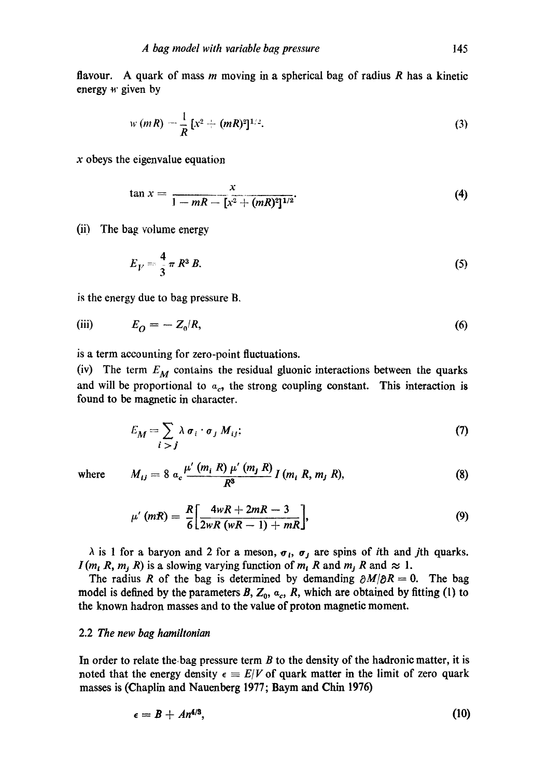flavour. A quark of mass m moving in a spherical bag of radius R has a kinetic energy  $w$  given by

$$
w(mR) = \frac{1}{R} [x^2 + (mR)^2]^{1/2}.
$$
 (3)

 $x$  obeys the eigenvalue equation

$$
\tan x = \frac{x}{1 - mR - [x^2 + (mR)^2]^{1/2}}.
$$
 (4)

(ii) The bag volume energy

$$
E_V = \frac{4}{3} \pi R^3 B. \tag{5}
$$

is the energy due to bag pressure B,

(iii) 
$$
E_O = -Z_0/R,
$$
 (6)

is a term accounting for zero-point fluctuations.

(iv) The term  $E_M$  contains the residual gluonic interactions between the quarks and will be proportional to  $a_c$ , the strong coupling constant. This interaction is found to be magnetic in character.

$$
E_M = \sum_{i > j} \lambda \sigma_i \cdot \sigma_j M_{ij};\tag{7}
$$

where 
$$
M_{ij} = 8 a_c \frac{\mu'(m_i R) \mu'(m_j R)}{R^3} I(m_i R, m_j R),
$$
 (8)

$$
\mu'(mR) = \frac{R}{6} \bigg[ \frac{4wR + 2mR - 3}{2wR(wR - 1) + mR} \bigg],
$$
\n(9)

 $\lambda$  is 1 for a baryon and 2 for a meson,  $\sigma_i$ ,  $\sigma_j$  are spins of *i*th and *j*th quarks.  $I(m_i, R, m_i, R)$  is a slowing varying function of  $m_i, R$  and  $m_i, R$  and  $\approx 1$ .

The radius R of the bag is determined by demanding  $\partial M/\partial R = 0$ . The bag model is defined by the parameters B,  $Z_0$ ,  $\alpha_c$ , R, which are obtained by fitting (1) to the known hadron masses and to the value of proton magnetic moment.

# 2.2 *The new bag hamiltonian*

In order to relate the bag pressure term  $B$  to the density of the hadronic matter, it is noted that the energy density  $\epsilon = E/V$  of quark matter in the limit of zero quark masses is (Chaplin and Nauenberg 1977; Baym and Chin 1976)

$$
\epsilon = B + An^{4/3},\tag{10}
$$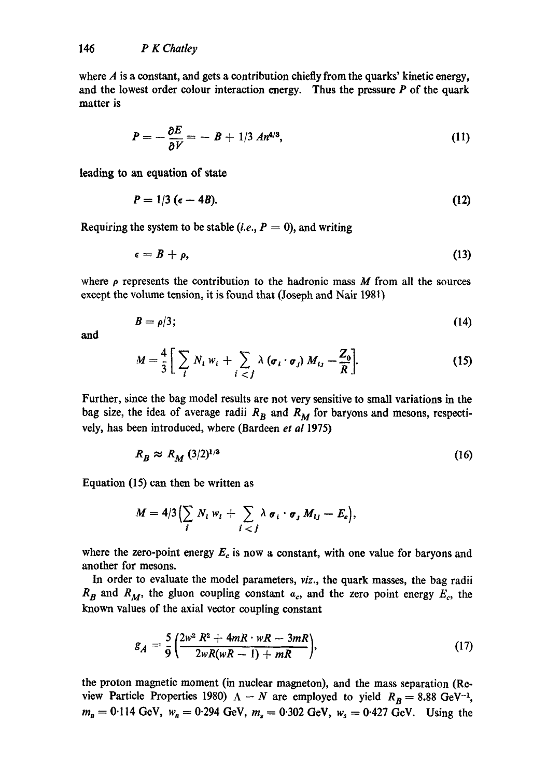where  $\vec{A}$  is a constant, and gets a contribution chiefly from the quarks' kinetic energy, and the lowest order colour interaction energy. Thus the pressure  $P$  of the quark matter is

$$
P=-\frac{\partial E}{\partial V}=-B+1/3\ An^{4/3},\qquad \qquad (11)
$$

leading to an equation of state

$$
P = 1/3 \ (\epsilon - 4B). \tag{12}
$$

Requiring the system to be stable  $(i.e., P = 0)$ , and writing

$$
\epsilon = B + \rho, \tag{13}
$$

where  $\rho$  represents the contribution to the hadronic mass M from all the sources except the volume tension, it is found that (Joseph and Nair 1981)

$$
B=\rho/3;\t(14)
$$

and

$$
M=\frac{4}{3}\bigg[\sum_i N_i w_i+\sum_{i < j} \lambda\left(\sigma_i\cdot\sigma_j\right)M_{i,j}-\frac{Z_0}{R}\bigg].\tag{15}
$$

Further, since the bag model results are not very sensitive to small variations in the bag size, the idea of average radii  $R_B$  and  $R_M$  for baryons and mesons, respectively, has been introduced, where (Bardeen *et al* 1975)

$$
R_R \approx R_M \left(\frac{3}{2}\right)^{1/3} \tag{16}
$$

Equation (15) can then be written as

$$
M=4/3\Bigl(\sum_i N_i w_i+\sum_{i
$$

where the zero-point energy  $E_c$  is now a constant, with one value for baryons and another for mesons.

In order to evaluate the model parameters, *viz.,* the quark masses, the bag radii  $R_B$  and  $R_M$ , the gluon coupling constant  $a_c$ , and the zero point energy  $E_c$ , the known values of the axial vector coupling constant

$$
g_A = \frac{5}{9} \left( \frac{2w^2 R^2 + 4mR \cdot wR - 3mR}{2wR(wR - 1) + mR} \right),\tag{17}
$$

the proton magnetic moment (in nuclear magneton), and the mass separation (Review Particle Properties 1980)  $\Lambda - N$  are employed to yield  $R_B = 8.88$  GeV<sup>-1</sup>,  $m_n = 0.114 \text{ GeV}, w_n = 0.294 \text{ GeV}, m_s = 0.302 \text{ GeV}, w_s = 0.427 \text{ GeV}.$  Using the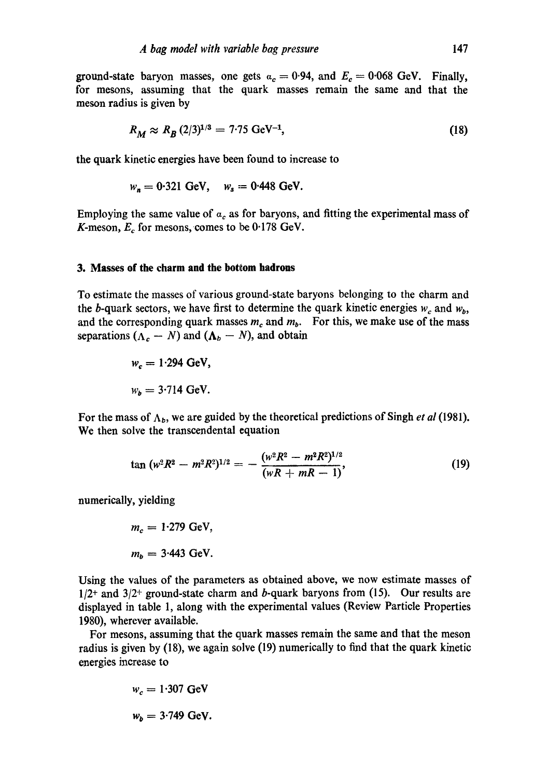ground-state baryon masses, one gets  $a_c = 0.94$ , and  $E_c = 0.068$  GeV. Finally, for mesons, assuming that the quark masses remain the same and that the meson radius is given by

$$
R_M \approx R_B \, (2/3)^{1/3} = 7.75 \, \text{GeV}^{-1},\tag{18}
$$

the quark kinetic energies have beeal found to increase to

$$
w_n = 0.321
$$
 GeV,  $w_s = 0.448$  GeV.

Employing the same value of  $a_c$  as for baryons, and fitting the experimental mass of K-meson,  $E_c$  for mesons, comes to be 0.178 GeV.

#### **3. Masses of the charm and the bottom hadrons**

To estimate the masses of various ground-state baryons belonging to the charm and the b-quark sectors, we have first to determine the quark kinetic energies  $w_c$  and  $w_b$ , and the corresponding quark masses  $m_c$  and  $m_b$ . For this, we make use of the mass separations  $(\Lambda_c - N)$  and  $(\Lambda_b - N)$ , and obtain

$$
w_c = 1.294 \text{ GeV},
$$
  

$$
w_b = 3.714 \text{ GeV}.
$$

For the mass of  $\Lambda_b$ , we are guided by the theoretical predictions of Singh *et al* (1981). We then solve the transcendental equation

$$
\tan (w^2 R^2 - m^2 R^2)^{1/2} = - \frac{(w^2 R^2 - m^2 R^2)^{1/2}}{(wR + mR - 1)},
$$
\n(19)

numerically, yielding

$$
m_c = 1.279 \text{ GeV},
$$
  

$$
m_b = 3.443 \text{ GeV}.
$$

Using the values of the parameters as obtained above, we now estimate masses of  $1/2$ <sup>+</sup> and  $3/2$ <sup>+</sup> ground-state charm and b-quark baryons from (15). Our results are displayed in table 1, along with the experimental values (Review Particle Properties 1980), wherever available.

For mesons, assuming that the quark masses remain the same and that the meson radius is given by (18), we again solve (19) numerically to find that the quark kinetic energies increase to

$$
w_c = 1.307 \text{ GeV}
$$

$$
w_b = 3.749 \text{ GeV}.
$$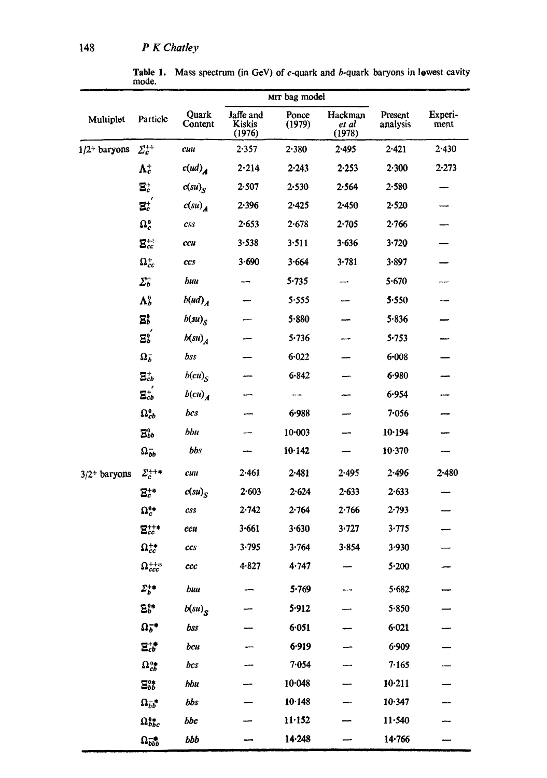<sup>148</sup>*P K Chatley* 

|                            |                                 |                      |                                      | MIT bag model   |                            |                     |                 |
|----------------------------|---------------------------------|----------------------|--------------------------------------|-----------------|----------------------------|---------------------|-----------------|
| Multiplet                  | Particle                        | Quark<br>Content     | Jaffe and<br><b>Kiskis</b><br>(1976) | Ponce<br>(1979) | Hackman<br>et al<br>(1978) | Present<br>analysis | Experi-<br>ment |
| $1/2$ <sup>+</sup> baryons | $\varSigma_{c}^{++}$            | cuu                  | 2.357                                | 2.380           | $2 - 495$                  | $2 - 421$           | 2.430           |
|                            | $\mathbf{\Lambda}^+_c$          | c(ud) <sub>d</sub>   | 2.214                                | 2.243           | 2.253                      | 2.300               | $2 - 273$       |
|                            | $\Xi_c^+$                       | $c(su)_{S}$          | 2.507                                | 2.530           | 2.564                      | 2.580               |                 |
|                            | $\mathbf{E}_c^+$                | c(su)                | 2.396                                | $2 - 425$       | $2 - 450$                  | 2.520               |                 |
|                            | $\Omega_c^0$                    | CSS                  | 2.653                                | 2.678           | $2 - 705$                  | 2.766               |                 |
|                            | $\mathbf{E}_{cc}^{++}$          | ccu                  | $3 - 538$                            | $3 - 511$       | 3.636                      | 3.720               |                 |
|                            | $\Omega_{cc}^+$                 | ccs                  | 3.690                                | 3.664           | 3.781                      | 3.897               |                 |
|                            | $\varSigma_{b}^{+}$             | buu                  |                                      | $5 - 735$       |                            | 5.670               |                 |
|                            | $\mathbf{\Lambda}^\mathtt{0}_b$ | $b(ud)_A$            |                                      | 5.555           |                            | 5.550               |                 |
|                            | E,                              | $b(su)_{S}$          |                                      | 5.880           |                            | 5.836               |                 |
|                            | $\Xi_{b}^{0}$                   | $b(su)_A$            |                                      | 5.736           |                            | 5.753               |                 |
|                            | $\Omega_b^-$                    | bss                  |                                      | 6.022           |                            | $6 - 008$           |                 |
|                            | $\Xi_{cb}^{+}$                  | $b(cu)_{S}$          |                                      | $6 - 842$       |                            | 6.980               |                 |
|                            | $\Xi_{cb}^{+}$                  | $b(cu)$ <sub>A</sub> |                                      |                 |                            | 6.954               |                 |
|                            | $\Omega_{cb}^0$                 | bcs                  |                                      | 6.988           |                            | $7 - 056$           |                 |
|                            | $\Xi_{bb}^{0}$                  | bbu                  |                                      | $10 - 003$      |                            | 10.194              |                 |
|                            | $\Omega_{\bar{b}b}$             | bbs                  |                                      | 10.142          |                            | 10.370              |                 |
| $3/2$ <sup>+</sup> baryons | $\Sigma_c^{++}$                 | cuu                  | $2 - 461$                            | $2 - 481$       | 2.495                      | 2.496               | $2 - 480$       |
|                            | $\mathbf{\Xi}^{+*}_c$           | $c(su)_{S}$          | $2 - 603$                            | 2.624           | 2.633                      | 2.633               |                 |
|                            | $\Omega_c^{0*}$                 | css                  | 2.742                                | 2.764           | 2.766                      | $2 - 793$           |                 |
|                            | $\Xi_{cc}^{++*}$                | ccu                  | 3.661                                | 3.630           | 3.727                      | 3.775               |                 |
|                            | $\Omega_{cc}^{+*}$              | ccs                  | 3.795                                | 3.764           | 3.854                      | 3.930               |                 |
|                            | $\Omega_{ccc}^{++}$             | ccc                  | 4.827                                | 4.747           |                            | 5.200               |                 |
|                            | $\Sigma_b^{+\bullet}$           | buu                  |                                      | 5.769           |                            | 5.682               |                 |
|                            | B}*                             | $b(su)_{S}$          |                                      | 5.912           |                            | 5.850               |                 |
|                            | $\Omega_b^{-*}$                 | bss                  |                                      | 6.051           |                            | $6 - 021$           |                 |
|                            | $\Xi_{cb}^{+\bullet}$           | bcu                  |                                      | 6.919           |                            | 6.909               |                 |
|                            | $\Omega_{cb}^{0\bullet}$        | bcs                  |                                      | 7.054           |                            | 7.165               |                 |
|                            | $\Xi_{bb}^{0\ast}$              | bbu                  |                                      | 10.048          |                            | $10 - 211$          |                 |
|                            | $\Omega_{bb}^{-*}$              | bbs                  |                                      | 10.148          |                            | 10.347              |                 |
|                            | $\Omega_{bbc}^{0*}$             | bbc                  |                                      | $11 - 152$      |                            | 11.540              |                 |
|                            | $\Omega_{bbb}^{-}$              | bbb                  |                                      | 14.248          |                            | 14.766              |                 |

ا أنفج<del>ى محمد فل</del>ا فينتقذ الأكاس الأخراجي المالية

**Table 1.**  mode. Mass spectrum (in GeV) of c-quark and b-quark baryons in lowest cavity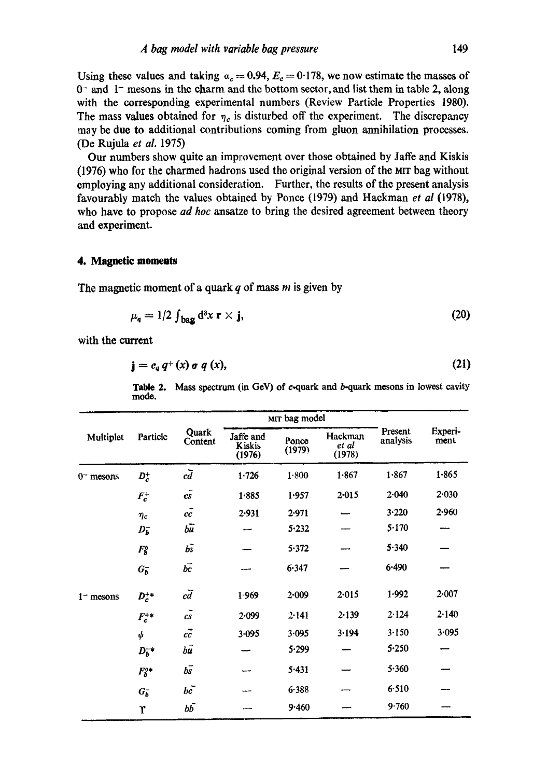Using these values and taking  $a_c = 0.94$ ,  $E_c = 0.178$ , we now estimate the masses of  $0-$  and  $1-$  mesons in the charm and the bottom sector, and list them in table 2, along with the corresponding experimental numbers (Review Particle Properties 1980). The mass values obtained for  $\eta_c$  is disturbed off the experiment. The discrepancy may be due to additional contributions coming from gluon annihilation processes. (De Rujula *et aL* 1975)

Our numbers show quite an improvement over those obtained by Jaffe and Kiskis (1976) who for the charmed hadrons used the original version of the MIT bag without employing any additional consideration. Further, the results of the present analysis favourably match the values obtained by Ponce (1979) and Hackman *et al* (1978), who have to propose *ad hoc* ansatze to bring the desired agreement between theory and experiment.

## **4. Magnetic moments**

The magnetic moment of a quark  $q$  of mass  $m$  is given by

$$
\mu_{q} = 1/2 \int_{\text{bag}} d^{3}x \, \mathbf{r} \times \mathbf{j}, \tag{20}
$$

with the current

$$
\mathbf{j} = e_q q^+(x) \sigma q(x), \tag{21}
$$

**Table 2.** Mass spectrum (in GeV) of c-quark and b-quark mesons in lowest cavity **mode.** 

|             |            |                            |                               | MIT bag model   |                            |                     |                 |
|-------------|------------|----------------------------|-------------------------------|-----------------|----------------------------|---------------------|-----------------|
| Multiplet   | Particle   | Quark<br>Content           | Jaffe and<br>Kiskis<br>(1976) | Ponce<br>(1979) | Hackman<br>et al<br>(1978) | Present<br>analysis | Experi-<br>ment |
| $0-$ mesons | $D_c^+$    | $c\overline{d}$            | 1.726                         | 1.800           | 1.867                      | 1.867               | 1.865           |
|             | $F_c^+$    | $c\bar{s}$                 | 1.885                         | 1.957           | 2.015                      | 2.040               | $2 - 030$       |
|             | $\eta_c$   | cc                         | 2.931                         | 2.971           |                            | 3.220               | 2.960           |
|             | $D_b^-$    | $b\overline{u}$            |                               | 5.232           |                            | 5.170               |                 |
|             | $F_b^o$    | $b\bar{s}$                 |                               | 5.372           |                            | 5.340               |                 |
|             | $G_b^-$    | $b\bar{c}$                 |                               | 6.347           |                            | 6.490               |                 |
| $1$ mesons  | $D_c^{+*}$ | $c\overline{d}$            | $1 - 969$                     | 2.009           | $2 - 015$                  | 1.992               | 2.007           |
|             | $F_c^{+*}$ | $\overline{c}\overline{s}$ | 2.099                         | 2.141           | 2.139                      | 2.124               | 2.140           |
|             | ψ          | $c\bar{c}$                 | 3.095                         | 3.095           | 3.194                      | 3.150               | 3.095           |
|             | $D_b^-$    | $b\vec{u}$                 |                               | 5.299           |                            | 5.250               |                 |
|             | $F_h^{0*}$ | $b\bar{s}$                 |                               | 5.431           |                            | 5.360               |                 |
|             | $G_5^-$    | bc                         |                               | 6.388           |                            | 6.510               |                 |
|             | r          | $b\bar{b}$                 |                               | 9.460           |                            | 9.760               |                 |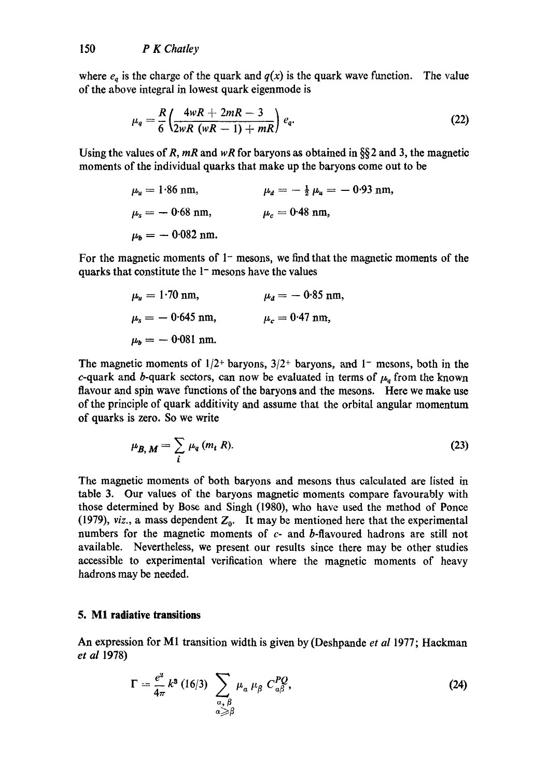where  $e_q$  is the charge of the quark and  $q(x)$  is the quark wave function. The value of the above integral in lowest quark eigenmode is

$$
\mu_q = \frac{R}{6} \left( \frac{4wR + 2mR - 3}{2wR (wR - 1) + mR} \right) e_q.
$$
 (22)

Using the values of R, *mR* and *wR* for baryons as obtained in §§2 and 3, the magnetic moments of the individual quarks that make up the baryons come out to be

$$
\mu_u = 1.86
$$
 nm,  $\mu_d = -\frac{1}{2} \mu_u = -0.93$  nm,  
\n $\mu_s = -0.68$  nm,  $\mu_c = 0.48$  nm,  
\n $\mu_b = -0.082$  nm.

For the magnetic moments of  $1-$  mesons, we find that the magnetic moments of the quarks that constitute the  $1-$  mesons have the values

$$
\mu_u = 1.70 \text{ nm},
$$
\n $\mu_d = -0.85 \text{ nm},$ \n  
\n $\mu_s = -0.645 \text{ nm},$ \n $\mu_c = 0.47 \text{ nm},$ \n  
\n $\mu_b = -0.081 \text{ nm}.$ 

The magnetic moments of  $1/2$ <sup>+</sup> baryons,  $3/2$ <sup>+</sup> baryons, and 1<sup>-</sup> mesons, both in the c-quark and b-quark sectors, can now be evaluated in terms of  $\mu_q$  from the known flavour and spin wave functions of the baryons and the mesons. Here we make use of the principle of quark additivity and assume that the orbital angular momentum of quarks is zero. So we write

$$
\mu_{B,\,M} = \sum_{i} \mu_q(m_i\,R). \tag{23}
$$

The magnetic moments of both baryons and mesons thus calculated are listed in table 3. Our values of the baryons magnetic moments compare favourably with those determined by Bose and Singh (1980), who have used the method of Ponce (1979), *viz.*, a mass dependent  $Z_0$ . It may be mentioned here that the experimental numbers for the magnetic moments of c- and b-flavoured hadrons are still not available. Nevertheless, we present our results since there may be other studies accessible to experimental verification where the magnetic moments of heavy hadrons may be needed.

# **5. M1 radiative transitions**

An expression for M1 transition width is given by (Deshpande *et al* 1977; Hackman *et al* 1978)

$$
\Gamma = \frac{e^2}{4\pi} k^3 (16/3) \sum_{\substack{\alpha, \beta \\ \alpha \ge \beta}} \mu_\alpha \mu_\beta C_{\alpha\beta}^{PQ}, \qquad (24)
$$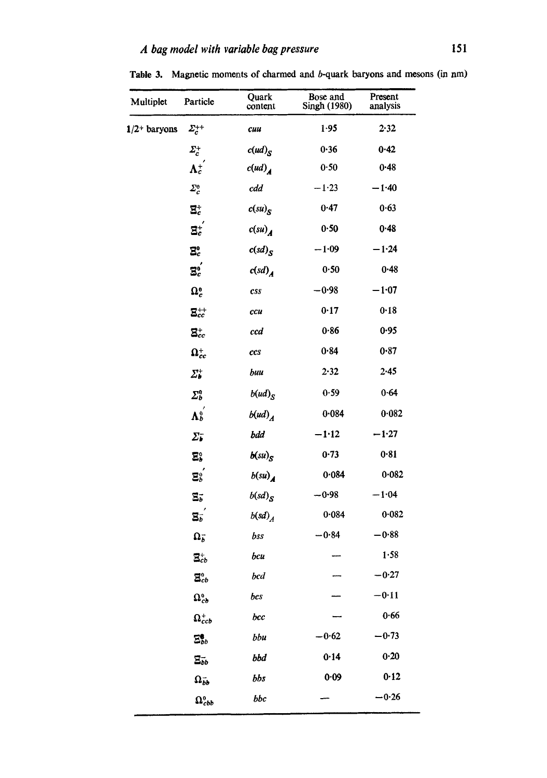| Multiplet                  | Particle                             | Quark<br>content                             | Bose and<br>Singh (1980) | Present<br>analysis |
|----------------------------|--------------------------------------|----------------------------------------------|--------------------------|---------------------|
| $1/2$ <sup>+</sup> baryons | $\varSigma_{c}^{++}$                 | cuu                                          | $1 - 95$                 | 2.32                |
|                            | $\varSigma_c^+$                      | $c(ud)_S$                                    | 0.36                     | 0.42                |
|                            | $\mathbf{\Lambda}^+_c$               | $c(ud)$ <sub>A</sub>                         | 0.50                     | 0.48                |
|                            | $\varSigma_c^o$                      | cdd                                          | $-1.23$                  | $-1.40$             |
|                            | $\mathbf{E}_c^+$                     | $c(su)_{S}$                                  | 0.47                     | 0.63                |
|                            | $\Xi_c^+$                            | $c(su)$ <sub>A</sub>                         | 0.50                     | 0.48                |
|                            | $\Xi_c^0$                            | $c(sd)_{S}$                                  | $-1.09$                  | $-1.24$             |
|                            | $\mathbf{E}^0_c$                     | c(sd) <sub>A</sub>                           | 0.50                     | 0.48                |
|                            | $\Omega_c^0$                         | $\boldsymbol{c}\boldsymbol{s}\boldsymbol{s}$ | -0.98                    | $-1.07$             |
|                            | $\Xi_{cc}^{++}$                      | ccu                                          | 0.17                     | 0.18                |
|                            | $\Xi_{cc}^{+}$                       | ccd                                          | 0.86                     | 0.95                |
|                            | $\Omega_{cc}^{+}$                    | ccs                                          | 0.84                     | 0.87                |
|                            | $\varSigma_{b}^{+}$                  | buu                                          | 2.32                     | 2.45                |
|                            | $\Sigma_b^0$                         | $b(ud)_S$                                    | 0.59                     | 0.64                |
|                            | $\mathbf{\Lambda}_{b}^{0}$           | $b(ud)_A$                                    | 0.084                    | 0.082               |
|                            | $\Sigma_{\bar{\pmb{\nu}}}$           | bdd                                          | $-1.12$                  | $-1.27$             |
|                            | $\Sigma^{\circ}_b$                   | $b(su)_{S}$                                  | 0.73                     | 0.81                |
|                            | $\Xi_{b}^{o}$                        | $b(su)$ <sub>A</sub>                         | 0.084                    | 0.082               |
|                            | $\Xi_b^-$                            | $b(sd)_{S}$                                  | $-0.98$                  | $-1.04$             |
|                            | $\overline{\mathbf{S}_{b}}$          | b(sd) <sub>A</sub>                           | 0.084                    | 0.082               |
|                            | $\Omega_b^-$                         | bss                                          | $-0.84$                  | $-0.88$             |
|                            | $\Xi_{cb}^{+}$                       | bcu                                          |                          | 1.58                |
|                            | $\mathbf{\Xi}_{cb}^{o}$              | bcd                                          |                          | $-0.27$             |
|                            | $\Omega_{cb}^{\scriptscriptstyle 0}$ | bcs                                          |                          | $-0.11$             |
|                            | $\Omega_{ccb}^+$                     | bcc                                          |                          | 0.66                |
|                            | $\Xi_{bb}^0$                         | bbu                                          | $-0.62$                  | $-0.73$             |
|                            | $\Xi_{bb}$                           | bbd                                          | 0.14                     | $0 - 20$            |
|                            | $\Omega_{bb}^-$                      | bbs                                          | 0.09                     | 0.12                |
|                            | $\Omega_{cbb}^{o}$                   | bbc                                          |                          | $-0.26$             |

Table 3. Magnetic moments of charmed and b-quark baryons and mesons (in am)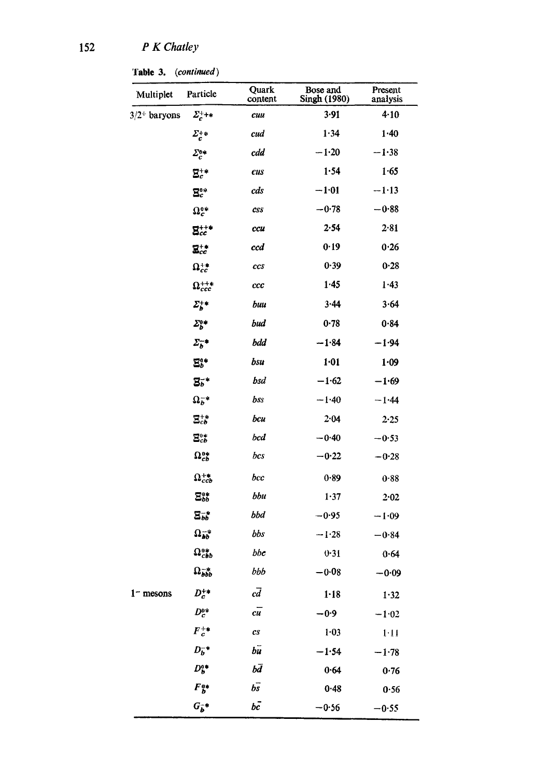Table 3. *(continued)* 

| Multiplet                  | Particle                                  | Quark<br>content               | Bose and<br>Singh (1980) | Present<br>analysis |
|----------------------------|-------------------------------------------|--------------------------------|--------------------------|---------------------|
| $3/2$ <sup>+</sup> baryons | $\Sigma_c^{++*}$                          | cuu                            | 3.91                     | $4 - 10$            |
|                            | $\Sigma_c^{+*}$                           | cud                            | 1.34                     | 1.40                |
|                            | $\Sigma_c^{0*}$                           | cdd                            | $-1.20$                  | $-1.38$             |
|                            | $\mathbf{\Xi}^{+*}_{c}$                   | cus                            | 1.54                     | 1.65                |
|                            | $\mathbf{E}^\text{o*}_c$                  | cds                            | $-1.01$                  | $-1.13$             |
|                            | $\Omega_c^{o*}$                           | <b>CSS</b>                     | $-0.78$                  | $-0.88$             |
|                            | $\mathbf{g}_{cc}^{++}$                    | ccu                            | 2.54                     | 2.81                |
|                            | $\Xi_{cc}^{+\ast}$                        | ccd                            | 0.19                     | 0.26                |
|                            | $\Omega_{cc}^{+\ast}$                     | ccs                            | 0.39                     | 0.28                |
|                            | $\Omega_{ccc}^{++}$                       | ccc                            | 1.45                     | 1.43                |
|                            | $\Sigma_b^{+*}$                           | buu                            | 3.44                     | 3.64                |
|                            | $\Sigma_{b}^{o*}$                         | bud                            | 0.78                     | 0.84                |
|                            | $\Sigma_b^{-*}$                           | bdd                            | $-1.84$                  | $-1.94$             |
|                            | $\mathbf{E}^{o*}_{b}$                     | bsu                            | 1.01                     | 1.09                |
|                            | $\mathbf{g}^{-*}$                         | bsd                            | $-1.62$                  | $-1.69$             |
|                            | $\Omega_b^{-*}$                           | bss                            | $-1.40$                  | $-1.44$             |
|                            | $\Xi_{cb}^{+*}$                           | bcu                            | 2.04                     | $2 - 25$            |
|                            | $\Xi_{cb}^{0*}$                           | bcd                            | $-0.40$                  | $-0.53$             |
|                            | $\Omega_{cb}^{0*}$                        | bcs                            | $-0.22$                  | $-0.28$             |
|                            | $\Omega_{ccb}^{+\ast}$                    | bcc                            | 0.89                     | 0.88                |
|                            | $\Xi_{bb}^{0*}$                           | bbu                            | 1.37                     | $2 - 02$            |
|                            | $\Xi_{bb}^{-*}$                           | bbd                            | $-0.95$                  | $-1.09$             |
|                            | $\Omega_{bb}^{-*}$                        | bbs                            | $-1.28$                  | $-0.84$             |
|                            | $\Omega_{cbb}^{*}$                        | bbc                            | 0.31                     | 0.64                |
|                            | $\Omega_{bbb}^{-*}$                       | bbb                            | $-0.08$                  | $-0.09$             |
| $1 -$ mesons               | $D_c^{+\ast}$                             | $c\overline{d}$                | $1 - 18$                 | 1.32                |
|                            | $D_c^{\rm o*}$                            | $c\overline{u}$                | $-0.9$                   | $-1.02$             |
|                            | $F_c^{+\ast}$                             | $\boldsymbol{c}\boldsymbol{s}$ | $1 - 03$                 | 1.11                |
|                            | $D_b^{-*}$                                | $b\bar{u}$                     | $-1.54$                  | $-1.78$             |
|                            | $D_b^{a*}$                                | bď                             | 0.64                     | 0.76                |
|                            | $\pmb{F}^{\, \text{o}\ast}_{\, \text{b}}$ | $b\bar{s}$                     | 0.48                     | 0.56                |
|                            | $G_b^{-*}$                                | $b\bar{c}$                     | $-0.56$                  | $-0.55$             |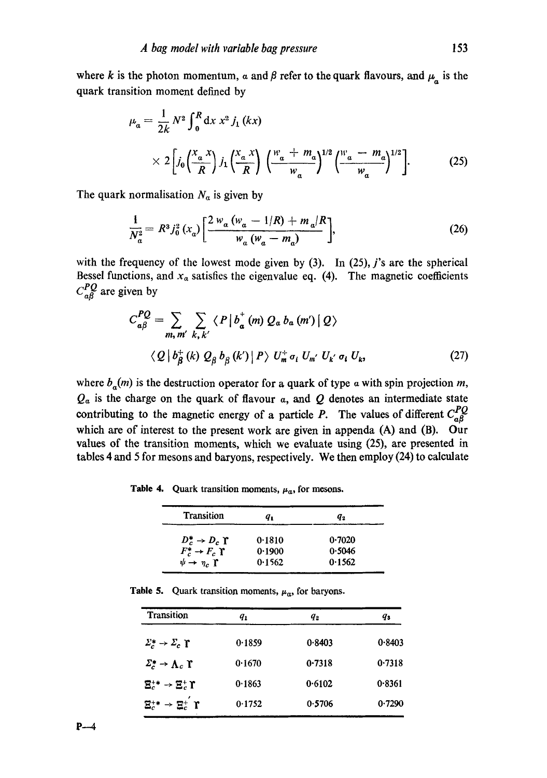where k is the photon momentum,  $\alpha$  and  $\beta$  refer to the quark flavours, and  $\mu_{\alpha}$  is the quark transition moment defined by

$$
\mu_a = \frac{1}{2k} N^2 \int_0^R dx x^2 j_1(kx)
$$
  
 
$$
\times 2 \left[ j_0 \left( \frac{x_a x}{R} \right) j_1 \left( \frac{x_a x}{R} \right) \left( \frac{w_a + m_a}{w_a} \right)^{1/2} \left( \frac{w_a - m_a}{w_a} \right)^{1/2} \right].
$$
 (25)

The quark normalisation  $N_a$  is given by

$$
\frac{1}{N_a^2} = R^3 j_0^2 (x_a) \left[ \frac{2 w_a (w_a - 1/R) + m_a/R}{w_a (w_a - m_a)} \right],
$$
\n(26)

with the frequency of the lowest mode given by  $(3)$ . In  $(25)$ , j's are the spherical Bessel functions, and  $x_a$  satisfies the eigenvalue eq. (4). The magnetic coefficients  $C_{a}^{PQ}$  are given by

$$
C_{a\beta}^{PQ} = \sum_{m, m'} \sum_{k, k'} \langle P | b_a^+(m) Q_a b_a (m') | Q \rangle
$$
  
 
$$
\langle Q | b_\beta^+(k) Q_\beta b_\beta (k') | P \rangle U_m^+ \sigma_i U_{m'} U_{k'} \sigma_i U_{k}, \qquad (27)
$$

where  $b_a(m)$  is the destruction operator for a quark of type a with spin projection m,  $Q_{\alpha}$  is the charge on the quark of flavour  $\alpha$ , and  $Q$  denotes an intermediate state contributing to the magnetic energy of a particle P. The values of different  $C_{a\beta}^{PQ}$ which are of interest to the present work are given in appenda (A) and (B). Our values of the transition moments, which we evaluate using (25), are presented in tables 4 and 5 for mesons and baryons, respectively. We then employ (24) to calculate

**Table 4.** Quark transition moments,  $\mu_a$ , for mesons.

| <b>Transition</b>                  | q,     | $\boldsymbol{q}_2$ |
|------------------------------------|--------|--------------------|
| $D_c^* \rightarrow D_c$ r          | 0.1810 | 0.7020             |
| $F_c^* \rightarrow F_c \Upsilon$   | 0.1900 | 0.5046             |
| $\psi \rightarrow \eta_c \Upsilon$ | 0.1562 | 0.1562             |

Table 5. Quark transition moments,  $\mu_a$ , for baryons.

| <b>Transition</b>                                                           | $q_{1}$ | $q_{\rm\,2}$ | q,     |
|-----------------------------------------------------------------------------|---------|--------------|--------|
| $\Sigma_c^* \rightarrow \Sigma_c \Upsilon$                                  | 0.1859  | 0.8403       | 0.8403 |
| $\Sigma_c^* \rightarrow \Lambda_c \Upsilon$                                 | 0.1670  | 0.7318       | 0.7318 |
| $\mathbf{\Xi}^{**}_{c}\rightarrow \mathbf{\Xi}^{*}_{c}\, \mathbf{\Upsilon}$ | 0.1863  | 0.6102       | 0.8361 |
| $\Xi_c^{\ast\ast} \to \Xi_c^{\ast}$ if                                      | 0.1752  | 0.5706       | 0.7290 |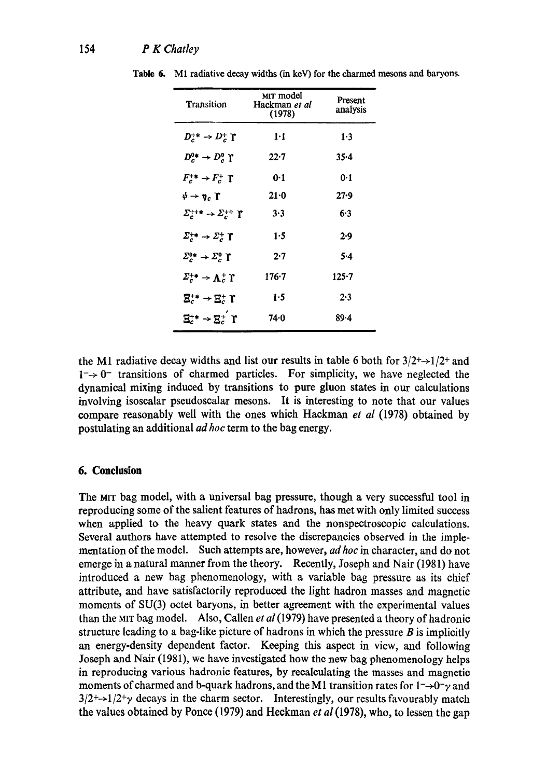| Transition                                   | MIT model<br>Hackman et al<br>(1978) | Present<br>analysis |  |
|----------------------------------------------|--------------------------------------|---------------------|--|
| $D_c^{+*} \rightarrow D_c^+ \Upsilon$        | $1 - 1$                              | 1.3                 |  |
| $D_c^{0*} \rightarrow D_c^0$ r               | $22 - 7$                             | $35 - 4$            |  |
| $F_c^+\rightarrow F_c^+$ T                   | 0-1                                  | 0·1                 |  |
| $\psi \rightarrow \eta_c$ T                  | $21 - 0$                             | 27.9                |  |
| $\Sigma_c^{++*}\to \Sigma_c^{++}$ T          | $3 - 3$                              | 6.3                 |  |
| $\Sigma_c^{+*} \to \Sigma_c^{+}$ I           | 1.5                                  | 2.9                 |  |
| $\Sigma_c^{\rm o*} \to \Sigma_c^{\rm o}$ T   | 2.7                                  | 5.4                 |  |
| $\varSigma_c^{+\bullet} \to \Lambda_c^+$ i   | 176-7                                | 125-7               |  |
| $\mathbf{\Xi}^{**}_c \to \mathbf{\Xi}^*_c$ T | 1.5                                  | 2.3                 |  |
| $\Xi_c^{\ast\ast}\to\Xi_c^+\,\,\Upsilon$     | 74.0                                 | 89.4                |  |

Table 6. M1 radiative decay widths (in keV) for the charmed mesons and baryons.

the M1 radiative decay widths and list our results in table 6 both for  $3/2^+$  + 1/2<sup>+</sup> and  $1 \rightarrow 0^-$  transitions of charmed particles. For simplicity, we have neglected the dynamical mixing induced by transitions to pure gluon states in our calculations involving isoscalar pseudoscalar mesons. It is interesting to note that our values compare reasonably well with the ones which Hackman *et al* (1978) obtained by postulating an additional *ad hoc* term to the bag energy.

# **6. Conclusion**

The MIT bag model, with a universal bag pressure, though a very successful tool in reproducing some of the salient features of hadrons, has met with only limited success when applied to the heavy quark states and the nonspectroseopic calculations. Several authors have attempted to resolve the discrepancies observed in the implementation of the model. Such attempts are, however, *ad hoc* in character, and do not emerge in a natural manner from the theory. Recently, Joseph and Nair (1981) have introduced a new bag phenomenology, with a variable bag pressure as its chief attribute, and have satisfactorily reproduced the light hadron masses and magnetic moments of SU(3) octet baryons, in better agreement with the experimental values than the MIT bag model. Also, CaUen *et al* (1979) have presented a theory of hadronic structure leading to a bag-like picture of hadrons in which the pressure  $B$  is implicitly an energy-density dependent factor. Keeping this aspect in view, and following Joseph and Nair (1981), we have investigated how the new bag phenomenology helps in reproducing various hadronio features, by recalculating the masses and magnetic moments of charmed and b-quark hadrons, and the M1 transition rates for  $1-\rightarrow 0^{\circ}$  and  $3/2^+$  $\rightarrow$ 1/2<sup>+</sup> $\gamma$  decays in the charm sector. Interestingly, our results favourably match the values obtained by Ponce (1979) and Heckman *et ai* (1978), who, to lessen the gap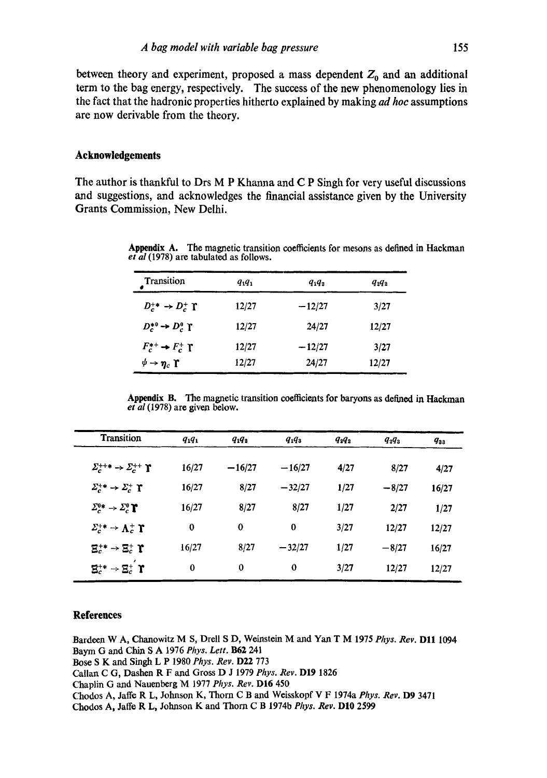between theory and experiment, proposed a mass dependent  $Z_0$  and an additional term to the bag energy, respectively. The success of the new phenomenology lies in the fact that the hadronic properties hitherto explained by making *ad hoc* assumptions are now derivable from the theory.

## **Acknowledgements**

The author is thankful to Drs M P Khanna and C P Singh for very useful discussions and suggestions, and acknowledges the financial assistance given by the University Grants Commission, New Delhi.

| Transition                         | $q_1q_1$ | $q_1q_2$ | $q_2 q_2$ |
|------------------------------------|----------|----------|-----------|
| $D_c^+ \rightarrow D_c^+ \Upsilon$ | 12/27    | $-12/27$ | 3/27      |
| $D_c^{*0} \rightarrow D_c^0$ T     | 12/27    | 24/27    | 12/27     |
| $F_c^*$ + $F_c^+$ T                | 12/27    | $-12/27$ | 3/27      |
| $\psi \rightarrow \eta_c$ r        | 12/27    | 24/27    | 12/27     |

Appendix A. The magnetic transition coefficients for mesons as defined in Hackman *et al* (1978) are tabulated as follows.

Appendix B. The magnetic transition coefficients for baryons as defined in Hackman *et al* (1978) are given below.

| <b>Transition</b>                                               | $q_1q_1$ | $q_1q_2$ | $q_1q_3$ | $q_2q_2$ | $q_2q_3$ | $q_{33}$ |
|-----------------------------------------------------------------|----------|----------|----------|----------|----------|----------|
| $\Sigma_c^{++*} \rightarrow \Sigma_c^{++} \Upsilon$             | 16/27    | $-16/27$ | $-16/27$ | 4/27     | 8/27     | 4/27     |
| $\Sigma_c^{+*} \rightarrow \Sigma_c^{+} \Upsilon$               | 16/27    | 8/27     | $-32/27$ | 1/27     | $-8/27$  | 16/27    |
| $\Sigma_c^{0*} \rightarrow \Sigma_c^0 \Upsilon$                 | 16/27    | 8/27     | 8/27     | 1/27     | 2/27     | 1/27     |
| $\Sigma_c^{+*} \rightarrow \Lambda_c^{+} \Upsilon$              | $\bf{0}$ | $\bf{0}$ | $\bf{0}$ | 3/27     | 12/27    | 12/27    |
| $\mathbf{E}_c^{**}\rightarrow \mathbf{E}_c^*$ $\mathbf{\Gamma}$ | 16/27    | 8/27     | $-32/27$ | 1/27     | $-8/27$  | 16/27    |
| $\mathbf{\Xi}^{**}_c \rightarrow \mathbf{\Xi}^{*}_c$ r          | $\bf{0}$ | $\bf{0}$ | 0        | 3/27     | 12/27    | 12/27    |

#### **References**

Bardeen W A, Chanowitz M S, Drell S D, Weinstein M and Yan T M 1975 *Phys. Rev.* D11 1094 Baym G and Chin S A 1976 *Phys. Lett.* **B62** 241 Bose S K and Singh L P 1980 Phys. Rev. D22 773 Callart C G, Dashen R F artd Gross D J 1979 *Phys. Rev.* DI9 1826 Chaplin G and Nauenberg M 1977 *Phys. Rev.* DI6 450 Chodos A, Jaffe R L, Johnson K, Thorn C B and Weisskopf V F 1974a Phys. Rev. D9 3471 Chodos A, Jaffe R L, Johnson K and Thorn C B 1974b *Phys. Rev.* D10 2599